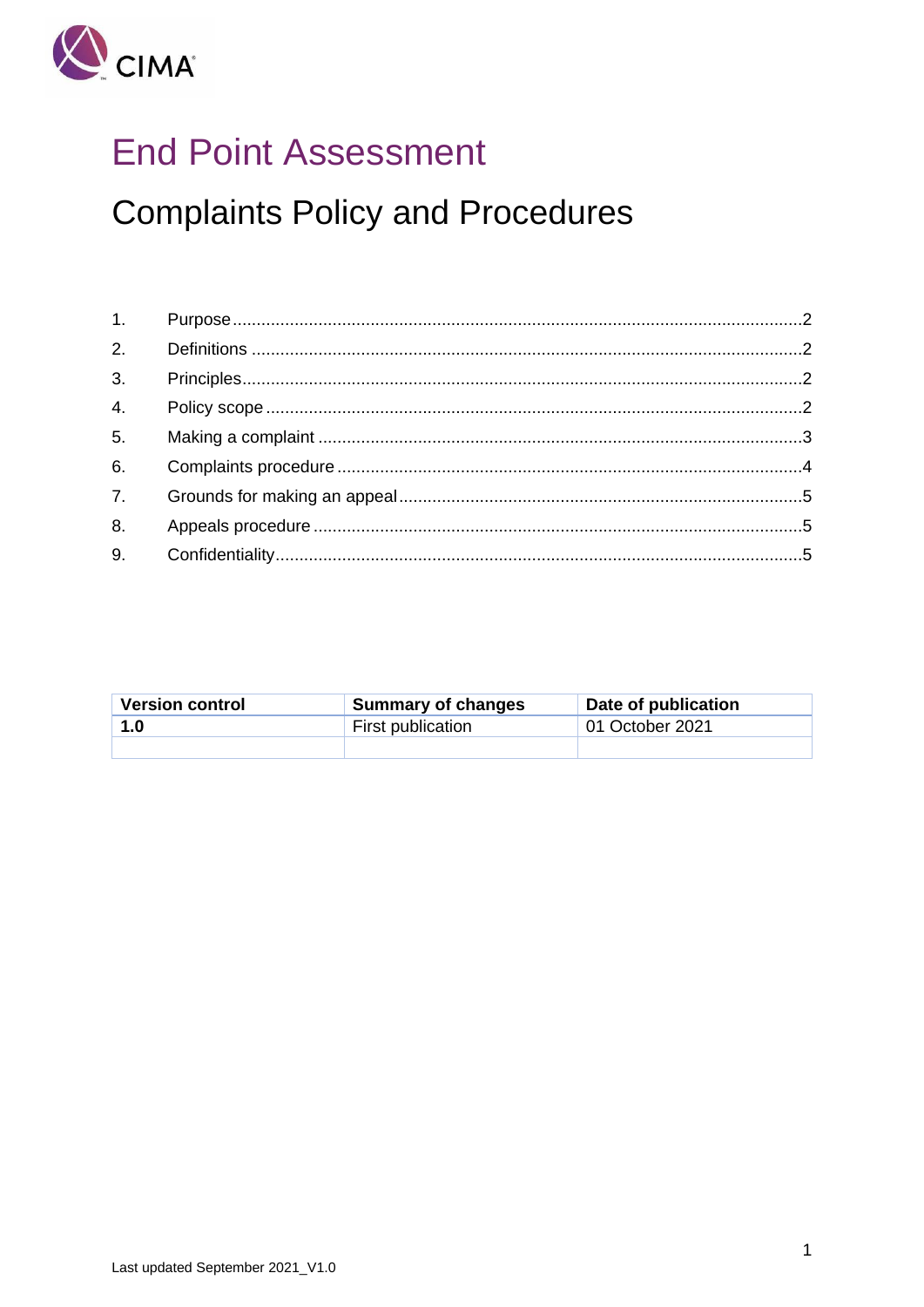

# **End Point Assessment**

**Complaints Policy and Procedures** 

| 1. |  |
|----|--|
|    |  |
| 3. |  |
| 4. |  |
| 5. |  |
| 6. |  |
|    |  |
| 8. |  |
|    |  |

| <b>Version control</b> | <b>Summary of changes</b> | Date of publication |
|------------------------|---------------------------|---------------------|
| 1.0                    | First publication         | 01 October 2021     |
|                        |                           |                     |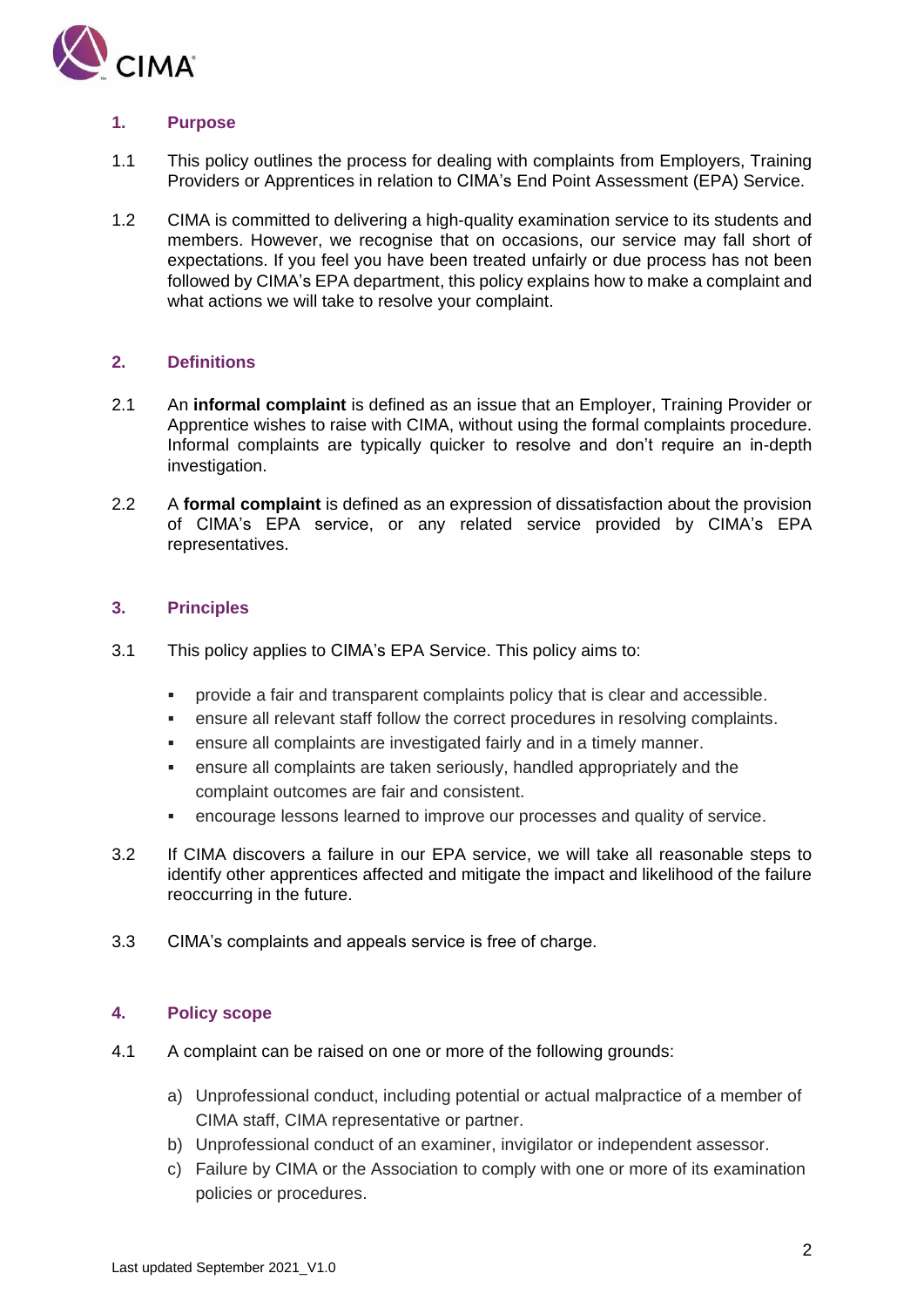

# <span id="page-1-0"></span>**1. Purpose**

- 1.1 This policy outlines the process for dealing with complaints from Employers, Training Providers or Apprentices in relation to CIMA's End Point Assessment (EPA) Service.
- 1.2 CIMA is committed to delivering a high-quality examination service to its students and members. However, we recognise that on occasions, our service may fall short of expectations. If you feel you have been treated unfairly or due process has not been followed by CIMA's EPA department, this policy explains how to make a complaint and what actions we will take to resolve your complaint.

# <span id="page-1-1"></span>**2. Definitions**

- 2.1 An **informal complaint** is defined as an issue that an Employer, Training Provider or Apprentice wishes to raise with CIMA, without using the formal complaints procedure. Informal complaints are typically quicker to resolve and don't require an in-depth investigation.
- 2.2 A **formal complaint** is defined as an expression of dissatisfaction about the provision of CIMA's EPA service, or any related service provided by CIMA's EPA representatives.

# <span id="page-1-2"></span>**3. Principles**

- 3.1 This policy applies to CIMA's EPA Service. This policy aims to:
	- provide a fair and transparent complaints policy that is clear and accessible.
	- ensure all relevant staff follow the correct procedures in resolving complaints.
	- **EXE** ensure all complaints are investigated fairly and in a timely manner.
	- ensure all complaints are taken seriously, handled appropriately and the complaint outcomes are fair and consistent.
	- encourage lessons learned to improve our processes and quality of service.
- 3.2 If CIMA discovers a failure in our EPA service, we will take all reasonable steps to identify other apprentices affected and mitigate the impact and likelihood of the failure reoccurring in the future.
- 3.3 CIMA's complaints and appeals service is free of charge.

# <span id="page-1-3"></span>**4. Policy scope**

- 4.1 A complaint can be raised on one or more of the following grounds:
	- a) Unprofessional conduct, including potential or actual malpractice of a member of CIMA staff, CIMA representative or partner.
	- b) Unprofessional conduct of an examiner, invigilator or independent assessor.
	- c) Failure by CIMA or the Association to comply with one or more of its examination policies or procedures.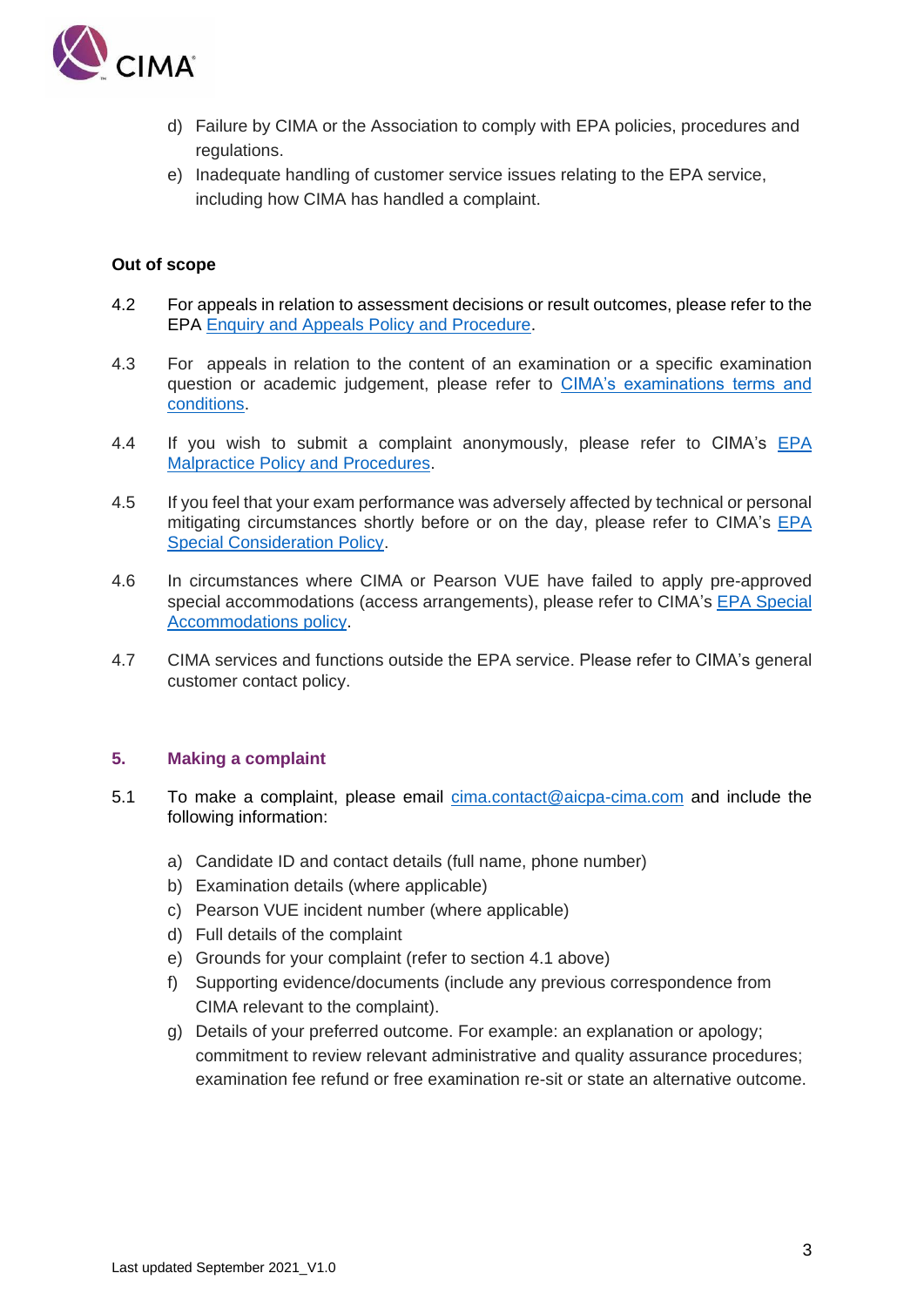

- d) Failure by CIMA or the Association to comply with EPA policies, procedures and regulations.
- e) Inadequate handling of customer service issues relating to the EPA service, including how CIMA has handled a complaint.

## **Out of scope**

- 4.2 For appeals in relation to assessment decisions or result outcomes, please refer to the EPA [Enquiry and Appeals Policy and Procedure.](http://www.cimaglobal.com/Documents/Exam/EPA%20Enquiry%20and%20Appeals%20Policy%20and%20Procedures_v1.0.pdf)
- 4.3 For appeals in relation to the content of an examination or a specific examination question or academic judgement, please refer to [CIMA's examinations terms and](https://www.cimaglobal.com/Documents/Student%20docs/Exam%20policies/CIMA_Exam_Scheduling_Terms_and_Conditions_July%202021_5.2%20.pdf)  [conditions.](https://www.cimaglobal.com/Documents/Student%20docs/Exam%20policies/CIMA_Exam_Scheduling_Terms_and_Conditions_July%202021_5.2%20.pdf)
- 4.4 If you wish to submit a complaint anonymously, please refer to CIMA's [EPA](http://www.cimaglobal.com/Documents/Exam/EPA%20Malpractice%20Policy%20and%20Procedures_V1.0.pdf)  Malpractice [Policy and Procedures.](http://www.cimaglobal.com/Documents/Exam/EPA%20Malpractice%20Policy%20and%20Procedures_V1.0.pdf)
- 4.5 If you feel that your exam performance was adversely affected by technical or personal mitigating circumstances shortly before or on the day, please refer to CIMA's [EPA](https://www.cimaglobal.com/Documents/Exam/EPA%20Special%20consideration%20policy_2.0%20active%20December%202020.pdf)  [Special Consideration Policy.](https://www.cimaglobal.com/Documents/Exam/EPA%20Special%20consideration%20policy_2.0%20active%20December%202020.pdf)
- 4.6 In circumstances where CIMA or Pearson VUE have failed to apply pre-approved special accommodations (access arrangements), please refer to CIMA's **EPA Special** [Accommodations](https://www.cimaglobal.com/Documents/Apprenticeships/EPA%20Special%20accomondations_active%20policy_Oct%202020.pdf) policy.
- 4.7 CIMA services and functions outside the EPA service. Please refer to CIMA's general customer contact policy.

#### <span id="page-2-0"></span>**5. Making a complaint**

- 5.1 To make a complaint, please email [cima.contact@aicpa-cima.com](mailto:cima.contact@aicpa-cima.com) and include the following information:
	- a) Candidate ID and contact details (full name, phone number)
	- b) Examination details (where applicable)
	- c) Pearson VUE incident number (where applicable)
	- d) Full details of the complaint
	- e) Grounds for your complaint (refer to section 4.1 above)
	- f) Supporting evidence/documents (include any previous correspondence from CIMA relevant to the complaint).
	- g) Details of your preferred outcome. For example: an explanation or apology; commitment to review relevant administrative and quality assurance procedures; examination fee refund or free examination re-sit or state an alternative outcome.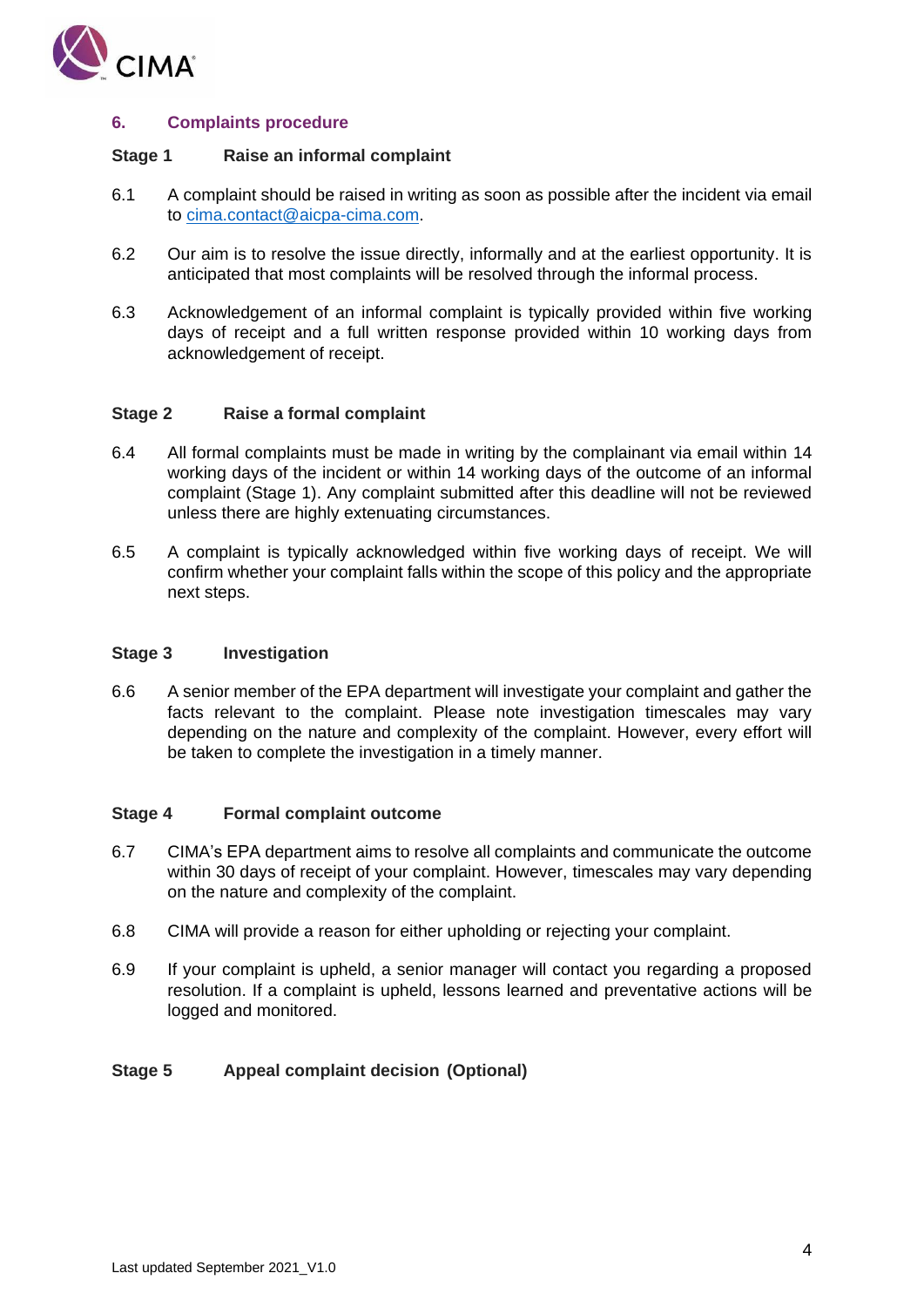

## <span id="page-3-0"></span>**6. Complaints procedure**

## **Stage 1 Raise an informal complaint**

- 6.1 A complaint should be raised in writing as soon as possible after the incident via email to [cima.contact@aicpa-cima.com.](mailto:cima.contact@aicpa-cima.com)
- 6.2 Our aim is to resolve the issue directly, informally and at the earliest opportunity. It is anticipated that most complaints will be resolved through the informal process.
- 6.3 Acknowledgement of an informal complaint is typically provided within five working days of receipt and a full written response provided within 10 working days from acknowledgement of receipt.

## **Stage 2 Raise a formal complaint**

- 6.4 All formal complaints must be made in writing by the complainant via email within 14 working days of the incident or within 14 working days of the outcome of an informal complaint (Stage 1). Any complaint submitted after this deadline will not be reviewed unless there are highly extenuating circumstances.
- 6.5 A complaint is typically acknowledged within five working days of receipt. We will confirm whether your complaint falls within the scope of this policy and the appropriate next steps.

#### **Stage 3 Investigation**

6.6 A senior member of the EPA department will investigate your complaint and gather the facts relevant to the complaint. Please note investigation timescales may vary depending on the nature and complexity of the complaint. However, every effort will be taken to complete the investigation in a timely manner.

#### **Stage 4 Formal complaint outcome**

- 6.7 CIMA's EPA department aims to resolve all complaints and communicate the outcome within 30 days of receipt of your complaint. However, timescales may vary depending on the nature and complexity of the complaint.
- 6.8 CIMA will provide a reason for either upholding or rejecting your complaint.
- 6.9 If your complaint is upheld, a senior manager will contact you regarding a proposed resolution. If a complaint is upheld, lessons learned and preventative actions will be logged and monitored.

#### **Stage 5 Appeal complaint decision (Optional)**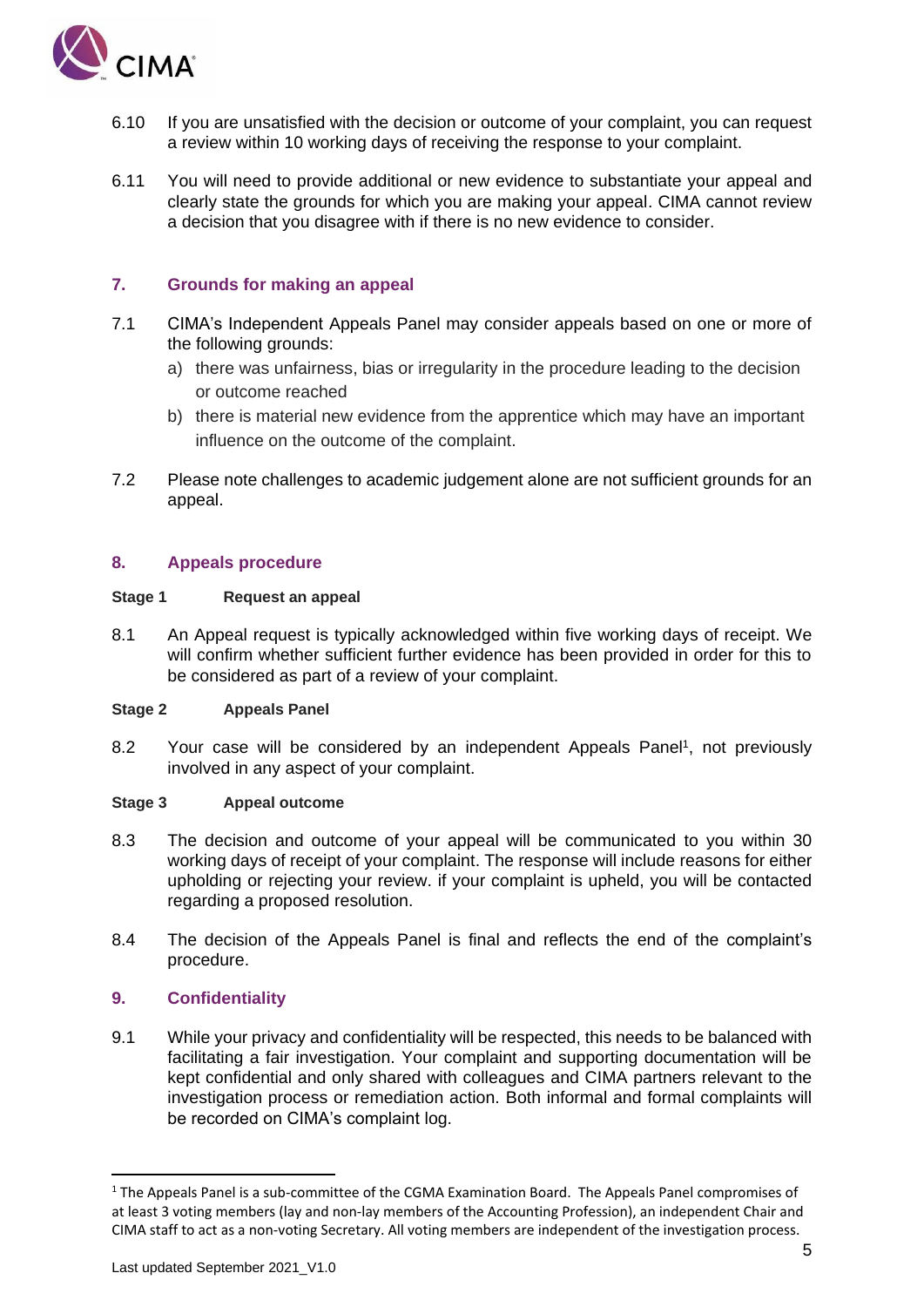

- 6.10 If you are unsatisfied with the decision or outcome of your complaint, you can request a review within 10 working days of receiving the response to your complaint.
- 6.11 You will need to provide additional or new evidence to substantiate your appeal and clearly state the grounds for which you are making your appeal. CIMA cannot review a decision that you disagree with if there is no new evidence to consider.

# <span id="page-4-0"></span>**7. Grounds for making an appeal**

- 7.1 CIMA's Independent Appeals Panel may consider appeals based on one or more of the following grounds:
	- a) there was unfairness, bias or irregularity in the procedure leading to the decision or outcome reached
	- b) there is material new evidence from the apprentice which may have an important influence on the outcome of the complaint.
- 7.2 Please note challenges to academic judgement alone are not sufficient grounds for an appeal.

## <span id="page-4-1"></span>**8. Appeals procedure**

## **Stage 1 Request an appeal**

8.1 An Appeal request is typically acknowledged within five working days of receipt. We will confirm whether sufficient further evidence has been provided in order for this to be considered as part of a review of your complaint.

#### **Stage 2 Appeals Panel**

8.2 Your case will be considered by an independent Appeals Panel<sup>1</sup>, not previously involved in any aspect of your complaint.

#### **Stage 3 Appeal outcome**

- 8.3 The decision and outcome of your appeal will be communicated to you within 30 working days of receipt of your complaint. The response will include reasons for either upholding or rejecting your review. if your complaint is upheld, you will be contacted regarding a proposed resolution.
- 8.4 The decision of the Appeals Panel is final and reflects the end of the complaint's procedure.

# <span id="page-4-2"></span>**9. Confidentiality**

9.1 While your privacy and confidentiality will be respected, this needs to be balanced with facilitating a fair investigation. Your complaint and supporting documentation will be kept confidential and only shared with colleagues and CIMA partners relevant to the investigation process or remediation action. Both informal and formal complaints will be recorded on CIMA's complaint log.

<sup>&</sup>lt;sup>1</sup> The Appeals Panel is a sub-committee of the CGMA Examination Board. The Appeals Panel compromises of at least 3 voting members (lay and non-lay members of the Accounting Profession), an independent Chair and CIMA staff to act as a non-voting Secretary. All voting members are independent of the investigation process.